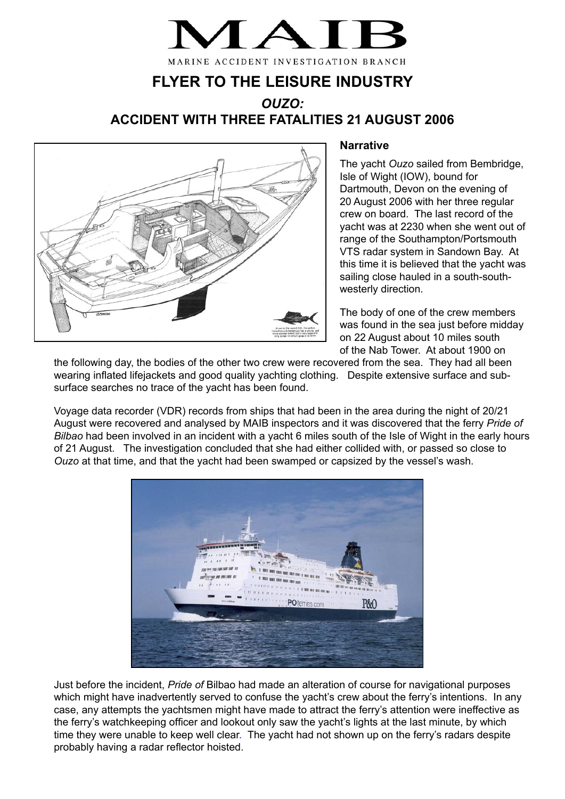MARINE ACCIDENT INVESTIGATION BRANCH

# **FLYER TO THE LEISURE INDUSTRY**

## *OUZO:* **ACCIDENT WITH THREE FATALITIES 21 AUGUST 2006**



#### **Narrative**

The yacht *Ouzo* sailed from Bembridge, Isle of Wight (IOW), bound for Dartmouth, Devon on the evening of 20 August 2006 with her three regular crew on board. The last record of the yacht was at 2230 when she went out of range of the Southampton/Portsmouth VTS radar system in Sandown Bay. At this time it is believed that the yacht was sailing close hauled in a south-southwesterly direction.

The body of one of the crew members was found in the sea just before midday on 22 August about 10 miles south of the Nab Tower. At about 1900 on

the following day, the bodies of the other two crew were recovered from the sea. They had all been wearing inflated lifejackets and good quality yachting clothing. Despite extensive surface and subsurface searches no trace of the yacht has been found.

Voyage data recorder (VDR) records from ships that had been in the area during the night of 20/21 August were recovered and analysed by MAIB inspectors and it was discovered that the ferry *Pride of Bilbao* had been involved in an incident with a yacht 6 miles south of the Isle of Wight in the early hours of 21 August. The investigation concluded that she had either collided with, or passed so close to *Ouzo* at that time, and that the yacht had been swamped or capsized by the vessel's wash.



Just before the incident, *Pride of* Bilbao had made an alteration of course for navigational purposes which might have inadvertently served to confuse the yacht's crew about the ferry's intentions. In any case, any attempts the yachtsmen might have made to attract the ferry's attention were ineffective as the ferry's watchkeeping officer and lookout only saw the yacht's lights at the last minute, by which time they were unable to keep well clear. The yacht had not shown up on the ferry's radars despite probably having a radar reflector hoisted.